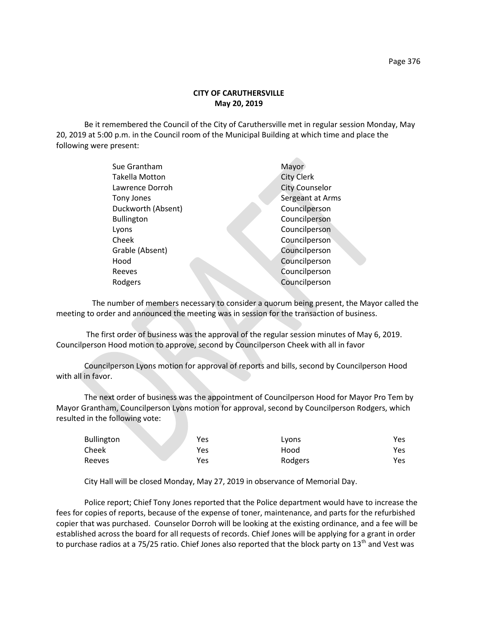## **CITY OF CARUTHERSVILLE May 20, 2019**

Be it remembered the Council of the City of Caruthersville met in regular session Monday, May 20, 2019 at 5:00 p.m. in the Council room of the Municipal Building at which time and place the following were present:

| Sue Grantham       | Mayor                 |
|--------------------|-----------------------|
| Takella Motton     | <b>City Clerk</b>     |
| Lawrence Dorroh    | <b>City Counselor</b> |
| Tony Jones         | Sergeant at Arms      |
| Duckworth (Absent) | Councilperson         |
| <b>Bullington</b>  | Councilperson         |
| Lyons              | Councilperson         |
| Cheek              | Councilperson         |
| Grable (Absent)    | Councilperson         |
| Hood               | Councilperson         |
| Reeves             | Councilperson         |
| Rodgers            | Councilperson         |
|                    |                       |

 The number of members necessary to consider a quorum being present, the Mayor called the meeting to order and announced the meeting was in session for the transaction of business.

The first order of business was the approval of the regular session minutes of May 6, 2019. Councilperson Hood motion to approve, second by Councilperson Cheek with all in favor

Councilperson Lyons motion for approval of reports and bills, second by Councilperson Hood with all in favor.

The next order of business was the appointment of Councilperson Hood for Mayor Pro Tem by Mayor Grantham, Councilperson Lyons motion for approval, second by Councilperson Rodgers, which resulted in the following vote:

| <b>Bullington</b> | Yes | Lyons   | Yes |
|-------------------|-----|---------|-----|
| Cheek             | Yes | Hood    | Yes |
| Reeves            | Yes | Rodgers | Yes |

City Hall will be closed Monday, May 27, 2019 in observance of Memorial Day.

Police report; Chief Tony Jones reported that the Police department would have to increase the fees for copies of reports, because of the expense of toner, maintenance, and parts for the refurbished copier that was purchased. Counselor Dorroh will be looking at the existing ordinance, and a fee will be established across the board for all requests of records. Chief Jones will be applying for a grant in order to purchase radios at a 75/25 ratio. Chief Jones also reported that the block party on 13<sup>th</sup> and Vest was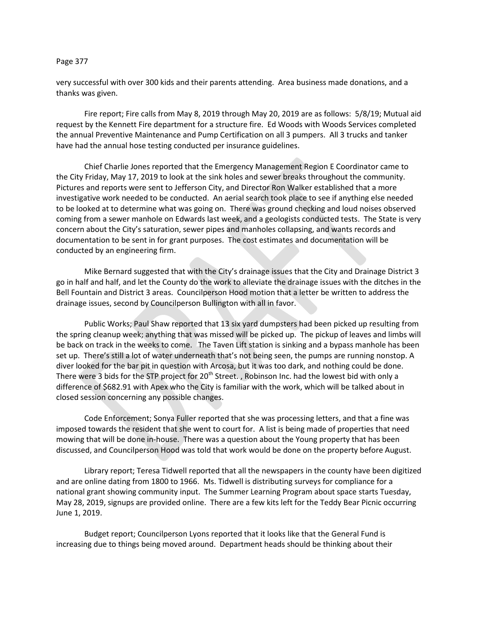## Page 377

very successful with over 300 kids and their parents attending. Area business made donations, and a thanks was given.

Fire report; Fire calls from May 8, 2019 through May 20, 2019 are as follows: 5/8/19; Mutual aid request by the Kennett Fire department for a structure fire. Ed Woods with Woods Services completed the annual Preventive Maintenance and Pump Certification on all 3 pumpers. All 3 trucks and tanker have had the annual hose testing conducted per insurance guidelines.

Chief Charlie Jones reported that the Emergency Management Region E Coordinator came to the City Friday, May 17, 2019 to look at the sink holes and sewer breaks throughout the community. Pictures and reports were sent to Jefferson City, and Director Ron Walker established that a more investigative work needed to be conducted. An aerial search took place to see if anything else needed to be looked at to determine what was going on. There was ground checking and loud noises observed coming from a sewer manhole on Edwards last week, and a geologists conducted tests. The State is very concern about the City's saturation, sewer pipes and manholes collapsing, and wants records and documentation to be sent in for grant purposes. The cost estimates and documentation will be conducted by an engineering firm.

Mike Bernard suggested that with the City's drainage issues that the City and Drainage District 3 go in half and half, and let the County do the work to alleviate the drainage issues with the ditches in the Bell Fountain and District 3 areas. Councilperson Hood motion that a letter be written to address the drainage issues, second by Councilperson Bullington with all in favor.

Public Works; Paul Shaw reported that 13 six yard dumpsters had been picked up resulting from the spring cleanup week; anything that was missed will be picked up. The pickup of leaves and limbs will be back on track in the weeks to come. The Taven Lift station is sinking and a bypass manhole has been set up. There's still a lot of water underneath that's not being seen, the pumps are running nonstop. A diver looked for the bar pit in question with Arcosa, but it was too dark, and nothing could be done. There were 3 bids for the STP project for 20<sup>th</sup> Street. , Robinson Inc. had the lowest bid with only a difference of \$682.91 with Apex who the City is familiar with the work, which will be talked about in closed session concerning any possible changes.

Code Enforcement; Sonya Fuller reported that she was processing letters, and that a fine was imposed towards the resident that she went to court for. A list is being made of properties that need mowing that will be done in-house. There was a question about the Young property that has been discussed, and Councilperson Hood was told that work would be done on the property before August.

Library report; Teresa Tidwell reported that all the newspapers in the county have been digitized and are online dating from 1800 to 1966. Ms. Tidwell is distributing surveys for compliance for a national grant showing community input. The Summer Learning Program about space starts Tuesday, May 28, 2019, signups are provided online. There are a few kits left for the Teddy Bear Picnic occurring June 1, 2019.

Budget report; Councilperson Lyons reported that it looks like that the General Fund is increasing due to things being moved around. Department heads should be thinking about their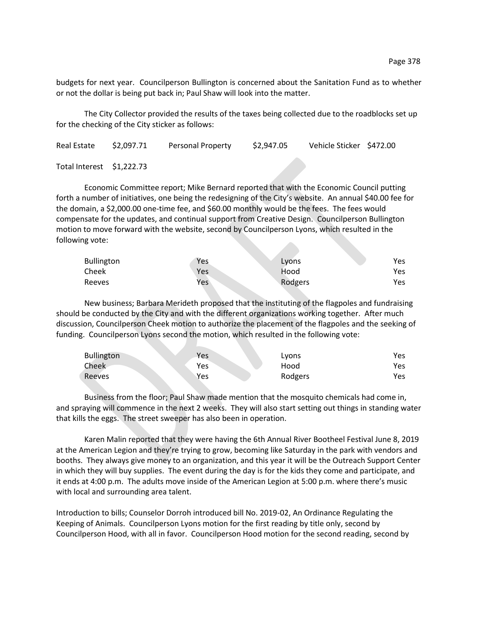budgets for next year. Councilperson Bullington is concerned about the Sanitation Fund as to whether or not the dollar is being put back in; Paul Shaw will look into the matter.

The City Collector provided the results of the taxes being collected due to the roadblocks set up for the checking of the City sticker as follows:

| Real Estate               | \$2,097.71 | Personal Property | \$2,947.05 | Vehicle Sticker \$472.00 |  |
|---------------------------|------------|-------------------|------------|--------------------------|--|
| Total Interest \$1,222.73 |            |                   |            |                          |  |

Economic Committee report; Mike Bernard reported that with the Economic Council putting forth a number of initiatives, one being the redesigning of the City's website. An annual \$40.00 fee for the domain, a \$2,000.00 one-time fee, and \$60.00 monthly would be the fees. The fees would compensate for the updates, and continual support from Creative Design. Councilperson Bullington motion to move forward with the website, second by Councilperson Lyons, which resulted in the following vote:

| <b>Bullington</b> | Yes | Lyons   | Yes. |
|-------------------|-----|---------|------|
| Cheek             | Yes | Hood    | Yes  |
| Reeves            | Yes | Rodgers | Yes  |

New business; Barbara Merideth proposed that the instituting of the flagpoles and fundraising should be conducted by the City and with the different organizations working together. After much discussion, Councilperson Cheek motion to authorize the placement of the flagpoles and the seeking of funding. Councilperson Lyons second the motion, which resulted in the following vote:

| <b>Bullington</b> | Yes        | Lyons   | Yes |
|-------------------|------------|---------|-----|
| Cheek             | Yes        | Hood    | Yes |
| Reeves            | <b>Yes</b> | Rodgers | Yes |

Business from the floor; Paul Shaw made mention that the mosquito chemicals had come in, and spraying will commence in the next 2 weeks. They will also start setting out things in standing water that kills the eggs. The street sweeper has also been in operation.

Karen Malin reported that they were having the 6th Annual River Bootheel Festival June 8, 2019 at the American Legion and they're trying to grow, becoming like Saturday in the park with vendors and booths. They always give money to an organization, and this year it will be the Outreach Support Center in which they will buy supplies. The event during the day is for the kids they come and participate, and it ends at 4:00 p.m. The adults move inside of the American Legion at 5:00 p.m. where there's music with local and surrounding area talent.

Introduction to bills; Counselor Dorroh introduced bill No. 2019-02, An Ordinance Regulating the Keeping of Animals. Councilperson Lyons motion for the first reading by title only, second by Councilperson Hood, with all in favor. Councilperson Hood motion for the second reading, second by